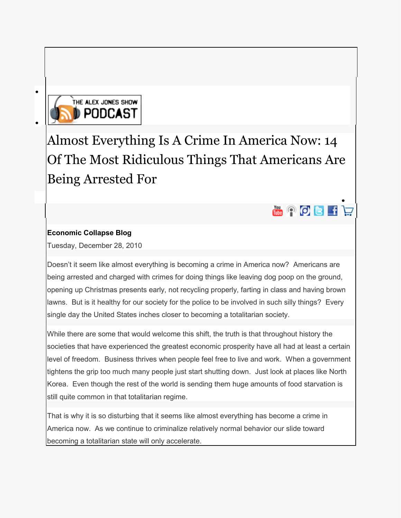

 $\bullet$ 

[Almost Everything Is A Crime In America Now: 14](http://www.prisonplanet.com/almost-everything-is-a-crime-in-america-now-14-of-the-most-ridiculous-things-that-americans-are-being-arrested-for.html)  [Of The Most Ridiculous Things That Americans Are](http://www.prisonplanet.com/almost-everything-is-a-crime-in-america-now-14-of-the-most-ridiculous-things-that-americans-are-being-arrested-for.html)  [Being Arrested For](http://www.prisonplanet.com/almost-everything-is-a-crime-in-america-now-14-of-the-most-ridiculous-things-that-americans-are-being-arrested-for.html) 



# **[Economic Collapse Blog](http://theeconomiccollapseblog.com/archives/almost-everything-is-a-crime-in-america-now-14-of-the-most-ridiculous-things-that-americans-are-being-arrested-for)**

Tuesday, December 28, 2010

Doesn't it seem like almost everything is becoming a crime in America now? Americans are being arrested and charged with crimes for doing things like leaving dog poop on the ground, opening up Christmas presents early, not recycling properly, farting in class and having brown lawns. But is it healthy for our society for the police to be involved in such silly things? Every single day the United States inches closer to becoming a totalitarian society.

While there are some that would welcome this shift, the truth is that throughout history the societies that have experienced the greatest economic prosperity have all had at least a certain level of freedom. Business thrives when people feel free to live and work. When a government tightens the grip too much many people just start shutting down. Just look at places like North Korea. Even though the rest of the world is sending them huge amounts of food starvation is still quite common in that totalitarian regime.

That is why it is so disturbing that it seems like almost everything has become a crime in America now. As we continue to criminalize relatively normal behavior our slide toward becoming a totalitarian state will only accelerate.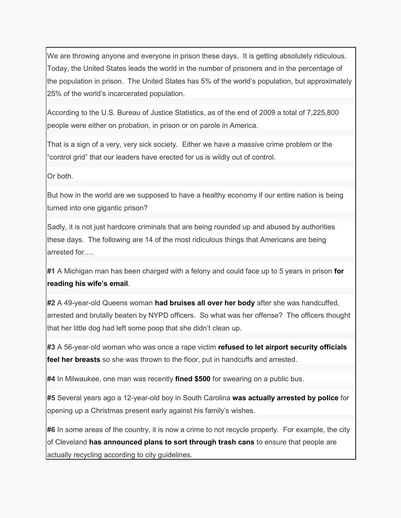We are throwing anyone and everyone in prison these days. It is getting absolutely ridiculous. Today, the United States leads the world in the number of prisoners and in the percentage of the population in prison. The United States has 5% of the world's population, but approximately 25% of the world's incarcerated population.

According to the U.S. Bureau of Justice Statistics, as of the end of 2009 a total of 7,225,800 people were either on probation, in prison or on parole in America.

That is a sign of a very, very sick society. Either we have a massive crime problem or the "control grid" that our leaders have erected for us is wildly out of control.

Or both.

But how in the world are we supposed to have a healthy economy if our entire nation is being turned into one gigantic prison?

Sadly, it is not just hardcore criminals that are being rounded up and abused by authorities these days. The following are 14 of the most ridiculous things that Americans are being arrested for….

**#1** A Michigan man has been charged with a felony and could face up to 5 years in prison **[for](http://content.usatoday.com/communities/ondeadline/post/2010/12/man-charged-with-felony-for-reading-his-wifes-email/1)  [reading his wife's email](http://content.usatoday.com/communities/ondeadline/post/2010/12/man-charged-with-felony-for-reading-his-wifes-email/1)**.

**#2** A 49-year-old Queens woman **[had bruises all over her body](http://www.nydailynews.com/ny_local/2010/12/08/2010-12-08_cops_hit_me_cuz_i_didnt_pick_up_dog_poo_qns_woman_plans_to_file_suit.html)** after she was handcuffed, arrested and brutally beaten by NYPD officers. So what was her offense? The officers thought that her little dog had left some poop that she didn't clean up.

**#3** A 56-year-old woman who was once a rape victim **[refused to let airport security officials](http://www.kvue.com/news/local/Woman-arrested-at-ABIA-after-refusing-enhanced-pat-down-112354199.html)  [feel her breasts](http://www.kvue.com/news/local/Woman-arrested-at-ABIA-after-refusing-enhanced-pat-down-112354199.html)** so she was thrown to the floor, put in handcuffs and arrested.

**#4** In Milwaukee, one man was recently **[fined \\$500](http://www.channel3000.com/news/26282625/detail.html)** for swearing on a public bus.

**#5** Several years ago a 12-year-old boy in South Carolina **[was actually arrested by police](http://www.wistv.com/Global/story.asp?S=5774586&nav=0RaPXRrw)** for opening up a Christmas present early against his family's wishes.

**#6** In some areas of the country, it is now a crime to not recycle properly. For example, the city of Cleveland **[has announced plans to sort through trash cans](http://blog.cleveland.com/metro/2010/08/city_of_cleveland_to_use_high-.html)** to ensure that people are actually recycling according to city guidelines.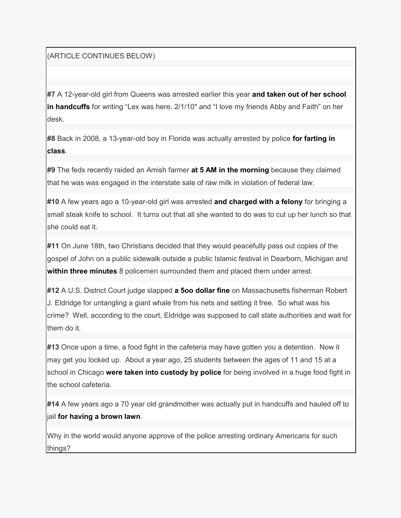(ARTICLE CONTINUES BELOW)

**#7** A 12-year-old girl from Queens was arrested earlier this year **[and taken out of her school](http://www.huffingtonpost.com/2010/02/05/desk-doodling-arrest-alex_n_450859.html)  [in handcuffs](http://www.huffingtonpost.com/2010/02/05/desk-doodling-arrest-alex_n_450859.html)** for writing "Lex was here. 2/1/10″ and "I love my friends Abby and Faith" on her desk.

**#8** Back in 2008, a 13-year-old boy in Florida was actually arrested by police **[for farting in](http://www.tcpalm.com/news/2008/nov/21/report-martin-county-student-arrested-passing-gas-/)  [class](http://www.tcpalm.com/news/2008/nov/21/report-martin-county-student-arrested-passing-gas-/)**.

**#9** The feds recently raided an Amish farmer **[at 5 AM in the morning](http://www.wnd.com/?pageId=144557)** because they claimed that he was was engaged in the interstate sale of raw milk in violation of federal law.

**#10** A few years ago a 10-year-old girl was arrested **[and charged with a felony](http://www.wftv.com/news/14858405/detail.html)** for bringing a small steak knife to school. It turns out that all she wanted to do was to cut up her lunch so that she could eat it.

**#11** On June 18th, two Christians decided that they would peacefully pass out copies of the gospel of John on a public sidewalk outside a public Islamic festival in Dearborn, Michigan and **[within three minutes](http://endoftheamericandream.com/archives/freedom-of-speech-is-dead)** 8 policemen surrounded them and placed them under arrest.

**#12** A U.S. District Court judge slapped **[a 5oo dollar fine](http://dailycaller.com/2010/06/24/the-top-five-most-ridiculous-regulations-in-massachusetts/2/)** on Massachusetts fisherman Robert J. Eldridge for untangling a giant whale from his nets and setting it free. So what was his crime? Well, according to the court, Eldridge was supposed to call state authorities and wait for them do it.

**#13** Once upon a time, a food fight in the cafeteria may have gotten you a detention. Now it may get you locked up. About a year ago, 25 students between the ages of 11 and 15 at a school in Chicago **[were taken into custody by police](http://www.nbcchicago.com/news/local-beat/Kids-Arrested-for-Food-Fight-69575092.html)** for being involved in a huge food fight in the school cafeteria.

**#14** A few years ago a 70 year old grandmother was actually put in handcuffs and hauled off to jail **[for having a brown lawn](http://www.thisgardenisillegal.com/2007/09/heres-one-for-the-stupid-file-woman-arrested-for-letting-her-lawn-get-brown.html)**.

Why in the world would anyone approve of the police arresting ordinary Americans for such things?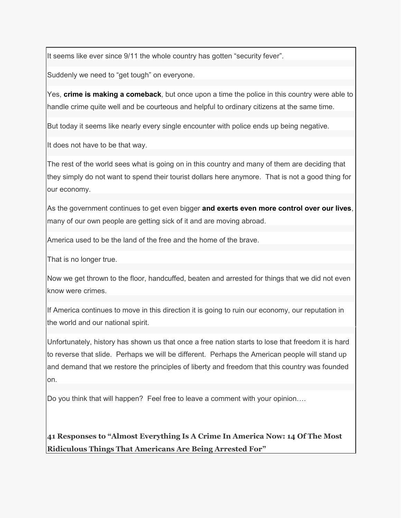It seems like ever since 9/11 the whole country has gotten "security fever".

Suddenly we need to "get tough" on everyone.

Yes, **[crime is making a comeback](http://theeconomiccollapseblog.com/archives/is-crime-making-a-comeback-12-crime-statistics-that-make-you-wonder-what-is-happening-to-america)**, but once upon a time the police in this country were able to handle crime quite well and be courteous and helpful to ordinary citizens at the same time.

But today it seems like nearly every single encounter with police ends up being negative.

It does not have to be that way.

The rest of the world sees what is going on in this country and many of them are deciding that they simply do not want to spend their tourist dollars here anymore. That is not a good thing for our economy.

As the government continues to get even bigger **[and exerts even more control over our lives](http://theeconomiccollapseblog.com/archives/full-spectrum-dominance-8-examples-of-how-the-government-is-attempting-to-take-total-control-of-our-food-our-health-our-money-and-even-our-dignity)**, many of our own people are getting sick of it and are moving abroad.

America used to be the land of the free and the home of the brave.

That is no longer true.

Now we get thrown to the floor, handcuffed, beaten and arrested for things that we did not even know were crimes.

If America continues to move in this direction it is going to ruin our economy, our reputation in the world and our national spirit.

Unfortunately, history has shown us that once a free nation starts to lose that freedom it is hard to reverse that slide. Perhaps we will be different. Perhaps the American people will stand up and demand that we restore the principles of liberty and freedom that this country was founded on.

Do you think that will happen? Feel free to leave a comment with your opinion….

**41 Responses to "Almost Everything Is A Crime In America Now: 14 Of The Most Ridiculous Things That Americans Are Being Arrested For"**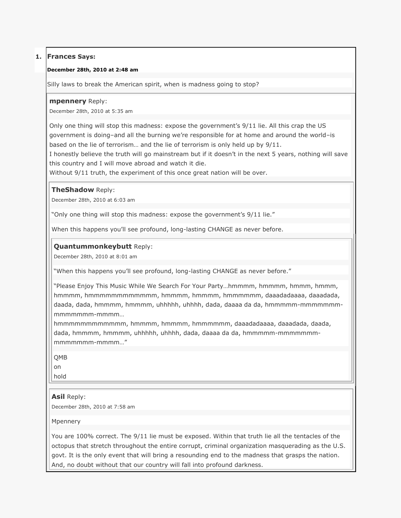## **1. Frances Says:**

#### **December 28th, 2010 at 2:48 am**

Silly laws to break the American spirit, when is madness going to stop?

### **mpennery** Reply:

December 28th, 2010 at 5:35 am

Only one thing will stop this madness: expose the government's 9/11 lie. All this crap the US government is doing–and all the burning we're responsible for at home and around the world–is based on the lie of terrorism… and the lie of terrorism is only held up by 9/11.

I honestly believe the truth will go mainstream but if it doesn't in the next 5 years, nothing will save this country and I will move abroad and watch it die.

Without 9/11 truth, the experiment of this once great nation will be over.

### **TheShadow** Reply:

December 28th, 2010 at 6:03 am

"Only one thing will stop this madness: expose the government's 9/11 lie."

When this happens you'll see profound, long-lasting CHANGE as never before.

### **Quantummonkeybutt** Reply:

December 28th, 2010 at 8:01 am

"When this happens you'll see profound, long-lasting CHANGE as never before."

"Please Enjoy This Music While We Search For Your Party...hmmmm, hmmm, hmmm, hmmm, hmmmm, hmmmmmmmmmmmm, hmmmm, hmmmm, hmmmmmm, daaadadaaaa, daaadada, daada, dada, hmmmm, hmmmm, uhhhhh, uhhhh, dada, daaaa da da, hmmmmm-mmmmmmmmmmmmmm-mmmm…

hmmmmmmmmmmmm, hmmmm, hmmmm, hmmmmmm, daaadadaaaa, daaadada, daada, dada, hmmmm, hmmmm, uhhhhh, uhhhh, dada, daaaa da da, hmmmmm-mmmmmmmmmmmmmm-mmmm…‖

QMB

on

hold

### **Asil** Reply:

December 28th, 2010 at 7:58 am

Mpennery

You are 100% correct. The 9/11 lie must be exposed. Within that truth lie all the tentacles of the octopus that stretch throughout the entire corrupt, criminal organization masquerading as the U.S. govt. It is the only event that will bring a resounding end to the madness that grasps the nation. And, no doubt without that our country will fall into profound darkness.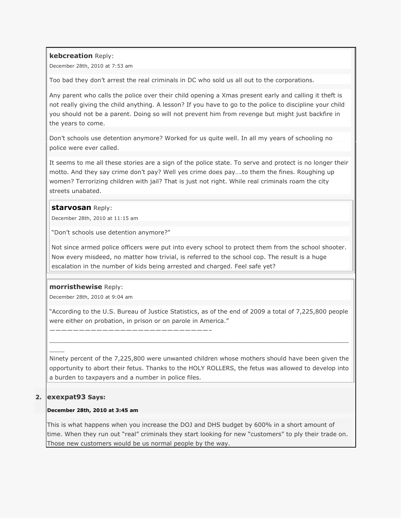### **kebcreation** Reply:

December 28th, 2010 at 7:53 am

Too bad they don't arrest the real criminals in DC who sold us all out to the corporations.

Any parent who calls the police over their child opening a Xmas present early and calling it theft is not really giving the child anything. A lesson? If you have to go to the police to discipline your child you should not be a parent. Doing so will not prevent him from revenge but might just backfire in the years to come.

Don't schools use detention anymore? Worked for us quite well. In all my years of schooling no police were ever called.

It seems to me all these stories are a sign of the police state. To serve and protect is no longer their motto. And they say crime don't pay? Well yes crime does pay….to them the fines. Roughing up women? Terrorizing children with jail? That is just not right. While real criminals roam the city streets unabated.

## **[starvosan](http://signofthetimes.yuku.com/directory)** Reply:

December 28th, 2010 at 11:15 am

"Don't schools use detention anymore?"

———————————————————————————–

Not since armed police officers were put into every school to protect them from the school shooter. Now every misdeed, no matter how trivial, is referred to the school cop. The result is a huge escalation in the number of kids being arrested and charged. Feel safe yet?

### **morristhewise** Reply:

December 28th, 2010 at 9:04 am

"According to the U.S. Bureau of Justice Statistics, as of the end of 2009 a total of 7,225,800 people were either on probation, in prison or on parole in America."

\_\_\_\_\_\_\_\_\_\_\_\_\_\_\_\_\_\_\_\_\_\_\_\_\_\_\_\_\_\_\_\_\_\_\_\_\_\_\_\_\_\_\_\_\_\_\_\_\_\_\_\_\_\_\_\_\_\_\_\_\_\_\_\_\_\_\_\_\_\_\_\_\_\_\_\_\_\_\_\_

Ninety percent of the 7,225,800 were unwanted children whose mothers should have been given the opportunity to abort their fetus. Thanks to the HOLY ROLLERS, the fetus was allowed to develop into a burden to taxpayers and a number in police files.

## **2. exexpat93 Says:**

 $\mathcal{L}$ 

### **December 28th, 2010 at 3:45 am**

This is what happens when you increase the DOJ and DHS budget by 600% in a short amount of time. When they run out "real" criminals they start looking for new "customers" to ply their trade on. Those new customers would be us normal people by the way.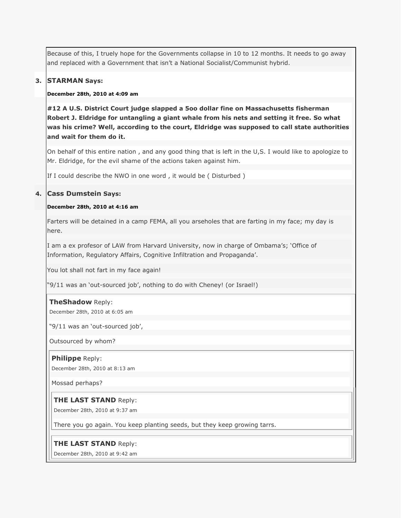Because of this, I truely hope for the Governments collapse in 10 to 12 months. It needs to go away and replaced with a Government that isn't a National Socialist/Communist hybrid.

### **3. STARMAN Says:**

#### **December 28th, 2010 at 4:09 am**

**#12 A U.S. District Court judge slapped a 5oo dollar fine on Massachusetts fisherman Robert J. Eldridge for untangling a giant whale from his nets and setting it free. So what was his crime? Well, according to the court, Eldridge was supposed to call state authorities and wait for them do it.**

On behalf of this entire nation , and any good thing that is left in the U,S. I would like to apologize to Mr. Eldridge, for the evil shame of the actions taken against him.

If I could describe the NWO in one word , it would be ( Disturbed )

### **4. Cass Dumstein Says:**

### **December 28th, 2010 at 4:16 am**

Farters will be detained in a camp FEMA, all you arseholes that are farting in my face; my day is here.

I am a ex profesor of LAW from Harvard University, now in charge of Ombama's; 'Office of Information, Regulatory Affairs, Cognitive Infiltration and Propaganda'.

You lot shall not fart in my face again!

"9/11 was an 'out-sourced job', nothing to do with Cheney! (or Israel!)

#### **TheShadow** Reply:

December 28th, 2010 at 6:05 am

"9/11 was an 'out-sourced job',

Outsourced by whom?

#### **Philippe** Reply:

December 28th, 2010 at 8:13 am

Mossad perhaps?

#### **THE LAST STAND** Reply:

December 28th, 2010 at 9:37 am

There you go again. You keep planting seeds, but they keep growing tarrs.

#### **THE LAST STAND** Reply:

December 28th, 2010 at 9:42 am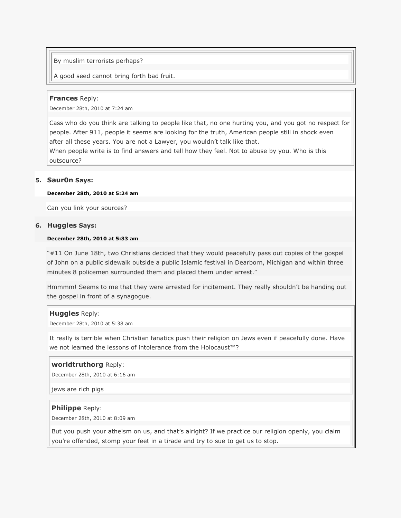### By muslim terrorists perhaps?

A good seed cannot bring forth bad fruit.

#### **Frances** Reply:

December 28th, 2010 at 7:24 am

Cass who do you think are talking to people like that, no one hurting you, and you got no respect for people. After 911, people it seems are looking for the truth, American people still in shock even after all these years. You are not a Lawyer, you wouldn't talk like that.

When people write is to find answers and tell how they feel. Not to abuse by you. Who is this outsource?

### **5. Saur0n Says:**

#### **December 28th, 2010 at 5:24 am**

Can you link your sources?

#### **6. Huggles Says:**

### **December 28th, 2010 at 5:33 am**

―#11 On June 18th, two Christians decided that they would peacefully pass out copies of the gospel of John on a public sidewalk outside a public Islamic festival in Dearborn, Michigan and within three minutes 8 policemen surrounded them and placed them under arrest."

Hmmmm! Seems to me that they were arrested for incitement. They really shouldn't be handing out the gospel in front of a synagogue.

#### **Huggles** Reply:

December 28th, 2010 at 5:38 am

It really is terrible when Christian fanatics push their religion on Jews even if peacefully done. Have we not learned the lessons of intolerance from the Holocaust™?

#### **worldtruthorg** Reply:

December 28th, 2010 at 6:16 am

jews are rich pigs

#### **Philippe** Reply:

December 28th, 2010 at 8:09 am

But you push your atheism on us, and that's alright? If we practice our religion openly, you claim you're offended, stomp your feet in a tirade and try to sue to get us to stop.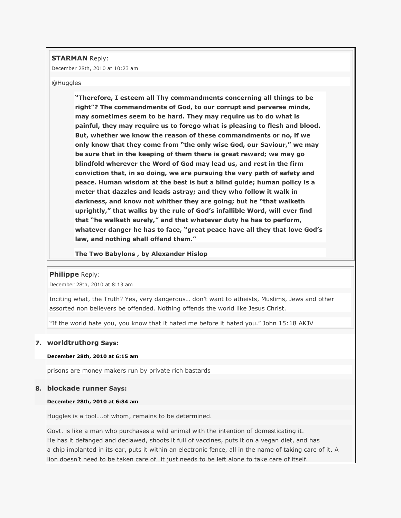**STARMAN** Reply:

December 28th, 2010 at 10:23 am

#### @Huggles

**"Therefore, I esteem all Thy commandments concerning all things to be right"? The commandments of God, to our corrupt and perverse minds, may sometimes seem to be hard. They may require us to do what is painful, they may require us to forego what is pleasing to flesh and blood. But, whether we know the reason of these commandments or no, if we only know that they come from "the only wise God, our Saviour," we may be sure that in the keeping of them there is great reward; we may go blindfold wherever the Word of God may lead us, and rest in the firm conviction that, in so doing, we are pursuing the very path of safety and peace. Human wisdom at the best is but a blind guide; human policy is a meter that dazzles and leads astray; and they who follow it walk in darkness, and know not whither they are going; but he "that walketh uprightly," that walks by the rule of God's infallible Word, will ever find that "he walketh surely," and that whatever duty he has to perform, whatever danger he has to face, "great peace have all they that love God's law, and nothing shall offend them."**

**The Two Babylons , by Alexander Hislop** 

#### **Philippe** Reply:

December 28th, 2010 at 8:13 am

Inciting what, the Truth? Yes, very dangerous… don't want to atheists, Muslims, Jews and other assorted non believers be offended. Nothing offends the world like Jesus Christ.

"If the world hate you, you know that it hated me before it hated you." John 15:18 AKJV

#### **7. worldtruthorg Says:**

#### **December 28th, 2010 at 6:15 am**

prisons are money makers run by private rich bastards

#### **8. blockade runner Says:**

#### **December 28th, 2010 at 6:34 am**

Huggles is a tool….of whom, remains to be determined.

Govt. is like a man who purchases a wild animal with the intention of domesticating it. He has it defanged and declawed, shoots it full of vaccines, puts it on a vegan diet, and has a chip implanted in its ear, puts it within an electronic fence, all in the name of taking care of it. A lion doesn't need to be taken care of…it just needs to be left alone to take care of itself.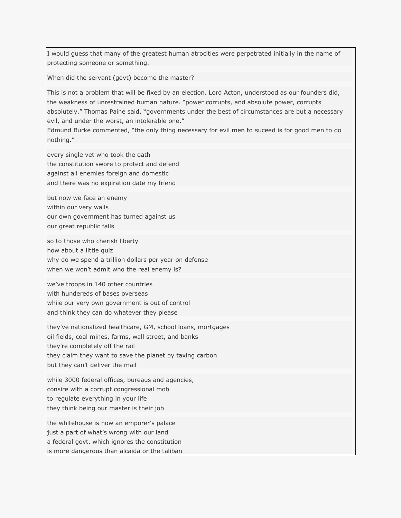I would guess that many of the greatest human atrocities were perpetrated initially in the name of protecting someone or something.

When did the servant (govt) become the master?

This is not a problem that will be fixed by an election. Lord Acton, understood as our founders did, the weakness of unrestrained human nature. "power corrupts, and absolute power, corrupts absolutely." Thomas Paine said, "governments under the best of circumstances are but a necessary evil, and under the worst, an intolerable one."

Edmund Burke commented, "the only thing necessary for evil men to suceed is for good men to do nothing."

every single vet who took the oath the constitution swore to protect and defend against all enemies foreign and domestic and there was no expiration date my friend

but now we face an enemy within our very walls our own government has turned against us our great republic falls

so to those who cherish liberty how about a little quiz why do we spend a trillion dollars per year on defense when we won't admit who the real enemy is?

we've troops in 140 other countries with hundereds of bases overseas while our very own government is out of control and think they can do whatever they please

they've nationalized healthcare, GM, school loans, mortgages oil fields, coal mines, farms, wall street, and banks they're completely off the rail they claim they want to save the planet by taxing carbon but they can't deliver the mail

while 3000 federal offices, bureaus and agencies, consire with a corrupt congressional mob to regulate everything in your life they think being our master is their job

the whitehouse is now an emporer's palace just a part of what's wrong with our land a federal govt. which ignores the constitution is more dangerous than alcaida or the taliban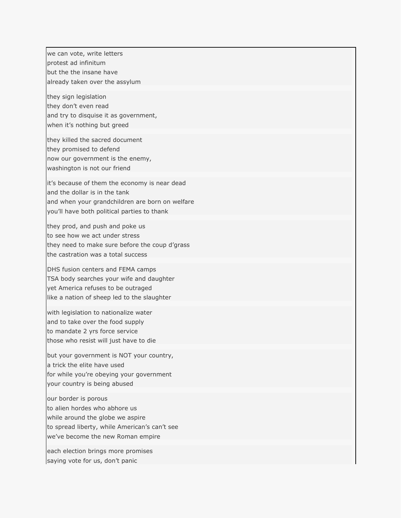we can vote, write letters protest ad infinitum but the the insane have already taken over the assylum they sign legislation they don't even read and try to disquise it as government, when it's nothing but greed they killed the sacred document they promised to defend now our government is the enemy, washington is not our friend it's because of them the economy is near dead and the dollar is in the tank and when your grandchildren are born on welfare you'll have both political parties to thank they prod, and push and poke us to see how we act under stress they need to make sure before the coup d'grass the castration was a total success DHS fusion centers and FEMA camps TSA body searches your wife and daughter yet America refuses to be outraged like a nation of sheep led to the slaughter with legislation to nationalize water and to take over the food supply to mandate 2 yrs force service those who resist will just have to die but your government is NOT your country, a trick the elite have used for while you're obeying your government your country is being abused our border is porous to alien hordes who abhore us while around the globe we aspire to spread liberty, while American's can't see we've become the new Roman empire each election brings more promises saying vote for us, don't panic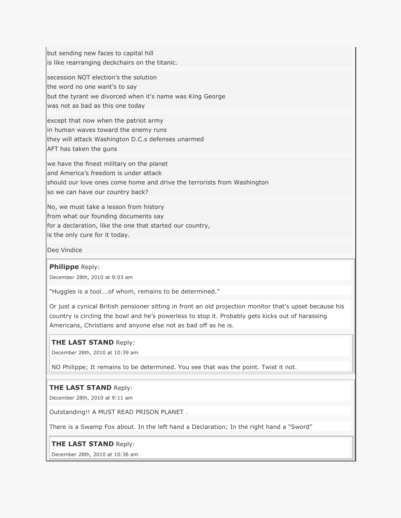but sending new faces to capital hill is like rearranging deckchairs on the titanic.

secession NOT election's the solution

the word no one want's to say

but the tyrant we divorced when it's name was King George

was not as bad as this one today

except that now when the patriot army in human waves toward the enemy runs they will attack Washington D.C.s defenses unarmed

AFT has taken the guns

we have the finest military on the planet and America's freedom is under attack should our love ones come home and drive the terrorists from Washington

so we can have our country back?

No, we must take a lesson from history from what our founding documents say for a declaration, like the one that started our country, is the only cure for it today.

Deo Vindice

### **Philippe** Reply:

December 28th, 2010 at 9:03 am

"Huggles is a tool....of whom, remains to be determined."

Or just a cynical British pensioner sitting in front an old projection monitor that's upset because his country is circling the bowl and he's powerless to stop it. Probably gets kicks out of harassing Americans, Christians and anyone else not as bad off as he is.

## **THE LAST STAND** Reply:

December 28th, 2010 at 10:39 am

NO Philippe; It remains to be determined. You see that was the point. Twist it not.

## **THE LAST STAND** Reply:

December 28th, 2010 at 9:11 am

Outstanding!! A MUST READ PRISON PLANET .

There is a Swamp Fox about. In the left hand a Declaration; In the right hand a "Sword"

### **THE LAST STAND** Reply:

December 28th, 2010 at 10:36 am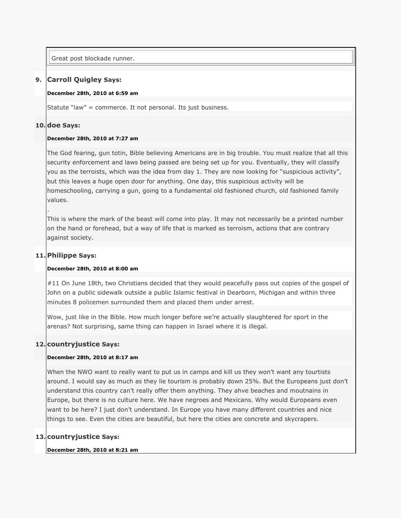Great post blockade runner.

## **9. Carroll Quigley Says:**

#### **December 28th, 2010 at 6:59 am**

Statute "law" = commerce. It not personal. Its just business.

### **10. doe Says:**

.

### **December 28th, 2010 at 7:27 am**

The God fearing, gun totin, Bible believing Americans are in big trouble. You must realize that all this security enforcement and laws being passed are being set up for you. Eventually, they will classify you as the terroists, which was the idea from day 1. They are now looking for "suspicious activity", but this leaves a huge open door for anything. One day, this suspicious activity will be homeschooling, carrying a gun, going to a fundamental old fashioned church, old fashioned family values.

This is where the mark of the beast will come into play. It may not necessarily be a printed number on the hand or forehead, but a way of life that is marked as terroism, actions that are contrary against society.

## **11. Philippe Says:**

### **December 28th, 2010 at 8:00 am**

#11 On June 18th, two Christians decided that they would peacefully pass out copies of the gospel of John on a public sidewalk outside a public Islamic festival in Dearborn, Michigan and within three minutes 8 policemen surrounded them and placed them under arrest.

Wow, just like in the Bible. How much longer before we're actually slaughtered for sport in the arenas? Not surprising, same thing can happen in Israel where it is illegal.

## **12. countryjustice Says:**

### **December 28th, 2010 at 8:17 am**

When the NWO want to really want to put us in camps and kill us they won't want any tourtists around. I would say as much as they lie tourism is probably down 25%. But the Europeans just don't understand this country can't really offer them anything. They ahve beaches and moutnains in Europe, but there is no culture here. We have negroes and Mexicans. Why would Europeans even want to be here? I just don't understand. In Europe you have many different countries and nice things to see. Even the cities are beautiful, but here the cities are concrete and skycrapers.

### **13. countryjustice Says:**

### **December 28th, 2010 at 8:21 am**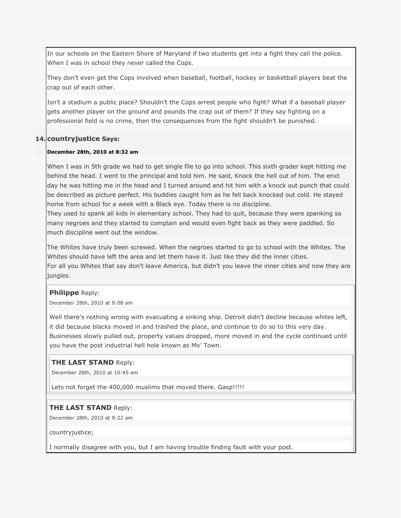In our schools on the Eastern Shore of Maryland if two students get into a fight they call the police. When I was in school they never called the Cops.

They don't even get the Cops involved when baseball, football, hockey or basketball players beat the crap out of each other.

Isn't a stadium a public place? Shouldn't the Cops arrest people who fight? What if a baseball player gets another player on the ground and pounds the crap out of them? If they say fighting on a professional field is no crime, then the consequences from the fight shouldn't be punished.

## **14. countryjustice Says:**

#### **December 28th, 2010 at 8:32 am**

When I was in 5th grade we had to get single file to go into school. This sixth grader kept hitting me behind the head. I went to the principal and told him. He said, Knock the hell out of him. The enxt day he was hitting me in the head and I turned around and hit him with a knock out punch that could be described as picture perfect. His buddies caught him as he fell back knocked out cold. He stayed home from school for a week with a Black eye. Today there is no discipline.

They used to spank all kids in elementary school. They had to quit, because they were spanking so many negroes and they started to complain and would even fight back as they were paddled. So much discipline went out the window.

The Whites have truly been screwed. When the negroes started to go to school with the Whites. The Whites should have left the area and let them have it. Just like they did the inner cities. For all you Whites that say don't leave America, but didn't you leave the inner cities and now they are jungles.

### **Philippe** Reply:

December 28th, 2010 at 9:08 am

Well there's nothing wrong with evacuating a sinking ship. Detroit didn't decline because whites left, it did because blacks moved in and trashed the place, and continue to do so to this very day. Businesses slowly pulled out, property values dropped, more moved in and the cycle continued until you have the post industrial hell hole known as Mo' Town.

### **THE LAST STAND** Reply:

December 28th, 2010 at 10:45 am

Lets not forget the 400,000 muslims that moved there. Gasp!!!!!

### **THE LAST STAND** Reply:

December 28th, 2010 at 9:22 am

countryjustice;

I normally disagree with you, but I am having trouble finding fault with your post.